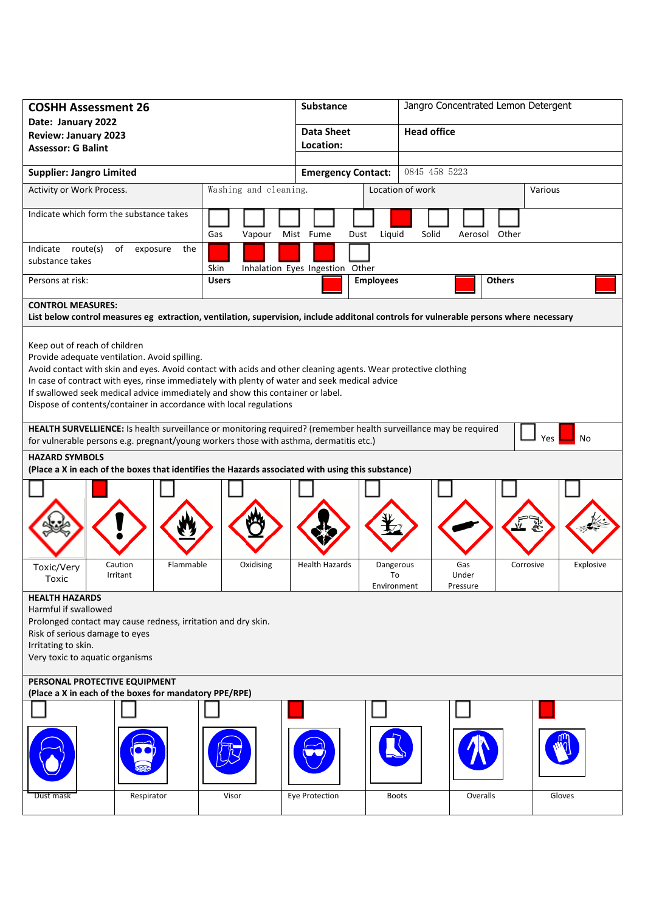| <b>COSHH Assessment 26</b>                                                                                                                                                                                                                                                                                                                                                                                                                                |           |                       | <b>Substance</b>                |                           |       | Jangro Concentrated Lemon Detergent |           |           |  |
|-----------------------------------------------------------------------------------------------------------------------------------------------------------------------------------------------------------------------------------------------------------------------------------------------------------------------------------------------------------------------------------------------------------------------------------------------------------|-----------|-----------------------|---------------------------------|---------------------------|-------|-------------------------------------|-----------|-----------|--|
| Date: January 2022<br><b>Review: January 2023</b>                                                                                                                                                                                                                                                                                                                                                                                                         |           |                       | <b>Data Sheet</b>               |                           |       | <b>Head office</b>                  |           |           |  |
| <b>Assessor: G Balint</b>                                                                                                                                                                                                                                                                                                                                                                                                                                 |           | Location:             |                                 |                           |       |                                     |           |           |  |
|                                                                                                                                                                                                                                                                                                                                                                                                                                                           |           |                       |                                 | 0845 458 5223             |       |                                     |           |           |  |
| <b>Supplier: Jangro Limited</b>                                                                                                                                                                                                                                                                                                                                                                                                                           |           |                       |                                 | <b>Emergency Contact:</b> |       |                                     |           |           |  |
| Activity or Work Process.                                                                                                                                                                                                                                                                                                                                                                                                                                 |           | Washing and cleaning. |                                 | Location of work          |       |                                     |           | Various   |  |
| Indicate which form the substance takes                                                                                                                                                                                                                                                                                                                                                                                                                   |           | Gas<br>Vapour         | Mist Fume                       | Liquid<br>Dust            | Solid | Aerosol Other                       |           |           |  |
| Indicate route(s)<br>of<br>exposure<br>substance takes                                                                                                                                                                                                                                                                                                                                                                                                    | the       | Skin                  | Inhalation Eyes Ingestion Other |                           |       |                                     |           |           |  |
| Persons at risk:                                                                                                                                                                                                                                                                                                                                                                                                                                          |           | <b>Users</b>          |                                 | <b>Employees</b>          |       | <b>Others</b>                       |           |           |  |
| <b>CONTROL MEASURES:</b>                                                                                                                                                                                                                                                                                                                                                                                                                                  |           |                       |                                 |                           |       |                                     |           |           |  |
| List below control measures eg extraction, ventilation, supervision, include additonal controls for vulnerable persons where necessary                                                                                                                                                                                                                                                                                                                    |           |                       |                                 |                           |       |                                     |           |           |  |
| Keep out of reach of children<br>Provide adequate ventilation. Avoid spilling.<br>Avoid contact with skin and eyes. Avoid contact with acids and other cleaning agents. Wear protective clothing<br>In case of contract with eyes, rinse immediately with plenty of water and seek medical advice<br>If swallowed seek medical advice immediately and show this container or label.<br>Dispose of contents/container in accordance with local regulations |           |                       |                                 |                           |       |                                     |           |           |  |
| HEALTH SURVELLIENCE: Is health surveillance or monitoring required? (remember health surveillance may be required<br><b>Yes</b><br>No<br>for vulnerable persons e.g. pregnant/young workers those with asthma, dermatitis etc.)                                                                                                                                                                                                                           |           |                       |                                 |                           |       |                                     |           |           |  |
| <b>HAZARD SYMBOLS</b>                                                                                                                                                                                                                                                                                                                                                                                                                                     |           |                       |                                 |                           |       |                                     |           |           |  |
| (Place a X in each of the boxes that identifies the Hazards associated with using this substance)                                                                                                                                                                                                                                                                                                                                                         |           |                       |                                 |                           |       |                                     |           |           |  |
| Caution<br>Toxic/Very                                                                                                                                                                                                                                                                                                                                                                                                                                     | Flammable | Oxidising             | <b>Health Hazards</b>           | Dangerous                 |       | Gas                                 | Corrosive | Explosive |  |
| Irritant<br>Toxic                                                                                                                                                                                                                                                                                                                                                                                                                                         |           |                       |                                 | To                        |       | Under<br>Pressure                   |           |           |  |
| Environment<br><b>HEALTH HAZARDS</b><br>Harmful if swallowed<br>Prolonged contact may cause redness, irritation and dry skin.<br>Risk of serious damage to eyes<br>Irritating to skin.<br>Very toxic to aquatic organisms                                                                                                                                                                                                                                 |           |                       |                                 |                           |       |                                     |           |           |  |
| PERSONAL PROTECTIVE EQUIPMENT<br>(Place a X in each of the boxes for mandatory PPE/RPE)                                                                                                                                                                                                                                                                                                                                                                   |           |                       |                                 |                           |       |                                     |           |           |  |
|                                                                                                                                                                                                                                                                                                                                                                                                                                                           |           |                       |                                 |                           |       |                                     |           |           |  |
|                                                                                                                                                                                                                                                                                                                                                                                                                                                           |           |                       |                                 |                           |       |                                     |           |           |  |
| Respirator<br>Dust mask                                                                                                                                                                                                                                                                                                                                                                                                                                   |           | Visor                 | Eye Protection                  | <b>Boots</b>              |       | Overalls                            |           | Gloves    |  |